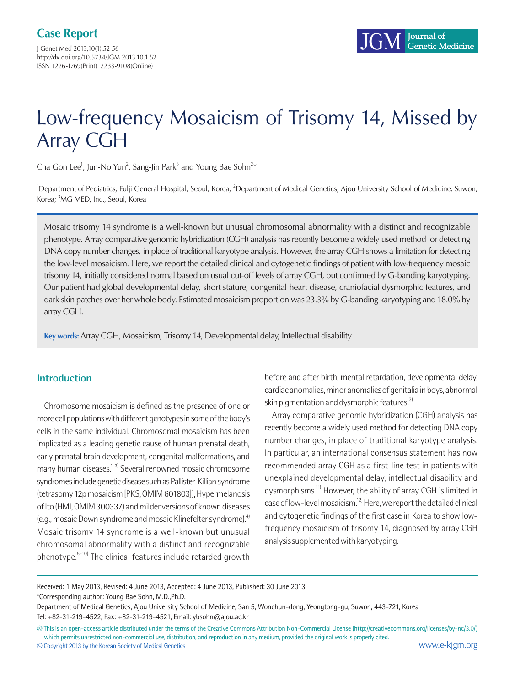J Genet Med 2013;10(1):52-56 http://dx.doi.org/10.5734/JGM.2013.10.1.52 ISSN 1226-1769(Print) 2233-9108(Online)

# Low-frequency Mosaicism of Trisomy 14, Missed by Array CGH

Cha Gon Lee<sup>1</sup>, Jun-No Yun<sup>2</sup>, Sang-Jin Park<sup>3</sup> and Young Bae Sohn<sup>2\*</sup>

<sup>1</sup>Department of Pediatrics, Eulji General Hospital, Seoul, Korea; <sup>2</sup>Department of Medical Genetics, Ajou University School of Medicine, Suwon, Korea; <sup>3</sup>MG MED, Inc., Seoul, Korea

Mosaic trisomy 14 syndrome is a well-known but unusual chromosomal abnormality with a distinct and recognizable phenotype. Array comparative genomic hybridization (CGH) analysis has recently become a widely used method for detecting DNA copy number changes, in place of traditional karyotype analysis. However, the array CGH shows a limitation for detecting the low-level mosaicism. Here, we report the detailed clinical and cytogenetic findings of patient with low-frequency mosaic trisomy 14, initially considered normal based on usual cut-off levels of array CGH, but confirmed by G-banding karyotyping. Our patient had global developmental delay, short stature, congenital heart disease, craniofacial dysmorphic features, and dark skin patches over her whole body. Estimated mosaicism proportion was 23.3% by G-banding karyotyping and 18.0% by array CGH.

**Key words:** Array CGH, Mosaicism, Trisomy 14, Developmental delay, Intellectual disability

# **Introduction**

Chromosome mosaicism is defined as the presence of one or more cell populations with different genotypes in some of the body's cells in the same individual. Chromosomal mosaicism has been implicated as a leading genetic cause of human prenatal death, early prenatal brain development, congenital malformations, and many human diseases.<sup>1-3)</sup> Several renowned mosaic chromosome syndromes include genetic disease such as Pallister-Killian syndrome (tetrasomy 12p mosaicism [PKS, OMIM 601803]), Hypermelanosis of Ito (HMI, OMIM 300337) and milder versions of known diseases (e.g., mosaic Down syndrome and mosaic Klinefelter syndrome).4) Mosaic trisomy 14 syndrome is a well-known but unusual chromosomal abnormality with a distinct and recognizable phenotype.<sup>5-10)</sup> The clinical features include retarded growth

before and after birth, mental retardation, developmental delay, cardiac anomalies, minor anomalies of genitalia in boys, abnormal skin pigmentation and dysmorphic features.<sup>3)</sup>

Array comparative genomic hybridization (CGH) analysis has recently become a widely used method for detecting DNA copy number changes, in place of traditional karyotype analysis. In particular, an international consensus statement has now recommended array CGH as a first-line test in patients with unexplained developmental delay, intellectual disability and dysmorphisms.<sup>11)</sup> However, the ability of array CGH is limited in case of low-level mosaicism.12) Here, we report the detailed clinical and cytogenetic findings of the first case in Korea to show lowfrequency mosaicism of trisomy 14, diagnosed by array CGH analysis supplemented with karyotyping.

Received: 1 May 2013, Revised: 4 June 2013, Accepted: 4 June 2013, Published: 30 June 2013 \*Corresponding author: Young Bae Sohn, M.D.,Ph.D.

Department of Medical Genetics, Ajou University School of Medicine, San 5, Wonchun-dong, Yeongtong-gu, Suwon, 443-721, Korea Tel: +82-31-219-4522, Fax: +82-31-219-4521, Email: ybsohn@ajou.ac.kr

**<sup>㏄</sup>** This is an open-access article distributed under the terms of the Creative Commons Attribution Non-Commercial License (http://creativecommons.org/licenses/by-nc/3.0/) which permits unrestricted non-commercial use, distribution, and reproduction in any medium, provided the original work is properly cited. **<sup>c</sup>** Copyright 2013 by the Korean Society of Medical Genetics www.e-kjgm.org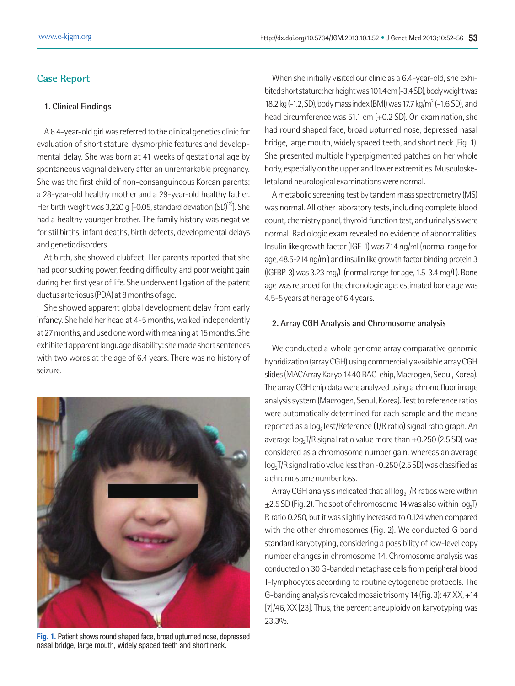# **Case Report**

## **1. Clinical Findings**

A 6.4-year-old girl was referred to the clinical genetics clinic for evaluation of short stature, dysmorphic features and developmental delay. She was born at 41 weeks of gestational age by spontaneous vaginal delivery after an unremarkable pregnancy. She was the first child of non-consanguineous Korean parents: a 28-year-old healthy mother and a 29-year-old healthy father. Her birth weight was 3,220 g  $[-0.05,$  standard deviation  $(SD)^{13}$ ]. She had a healthy younger brother. The family history was negative for stillbirths, infant deaths, birth defects, developmental delays and genetic disorders.

At birth, she showed clubfeet. Her parents reported that she had poor sucking power, feeding difficulty, and poor weight gain during her first year of life. She underwent ligation of the patent ductus arteriosus (PDA) at 8 months of age.

She showed apparent global development delay from early infancy. She held her head at 4-5 months, walked independently at 27 months, and used one word with meaning at 15 months. She exhibited apparent language disability: she made short sentences with two words at the age of 6.4 years. There was no history of seizure.



**Fig. 1.** Patient shows round shaped face, broad upturned nose, depressed nasal bridge, large mouth, widely spaced teeth and short neck.

When she initially visited our clinic as a 6.4-year-old, she exhibited short stature: her height was 101.4 cm (-3.4 SD), body weight was 18.2 kg (-1.2, SD), body mass index (BMI) was 17.7 kg/m<sup>2</sup> (-1.6 SD), and head circumference was 51.1 cm (+0.2 SD). On examination, she had round shaped face, broad upturned nose, depressed nasal bridge, large mouth, widely spaced teeth, and short neck (Fig. 1). She presented multiple hyperpigmented patches on her whole body, especially on the upper and lower extremities. Musculoskeletal and neurological examinations were normal.

A metabolic screening test by tandem mass spectrometry (MS) was normal. All other laboratory tests, including complete blood count, chemistry panel, thyroid function test, and urinalysis were normal. Radiologic exam revealed no evidence of abnormalities. Insulin like growth factor (IGF-1) was 714 ng/ml (normal range for age, 48.5-214 ng/ml) and insulin like growth factor binding protein 3 (IGFBP-3) was 3.23 mg/L (normal range for age, 1.5-3.4 mg/L). Bone age was retarded for the chronologic age: estimated bone age was 4.5-5 years at her age of 6.4 years.

### **2. Array CGH Analysis and Chromosome analysis**

We conducted a whole genome array comparative genomic hybridization (array CGH) using commercially available array CGH slides (MACArray Karyo 1440 BAC-chip, Macrogen, Seoul, Korea). The array CGH chip data were analyzed using a chromofluor image analysis system (Macrogen, Seoul, Korea). Test to reference ratios were automatically determined for each sample and the means reported as a log<sub>2</sub>Test/Reference (T/R ratio) signal ratio graph. An average  $log_2T/R$  signal ratio value more than  $+0.250$  (2.5 SD) was considered as a chromosome number gain, whereas an average  $log_2$ T/R signal ratio value less than -0.250 (2.5 SD) was classified as a chromosome number loss.

Array CGH analysis indicated that all  $log<sub>2</sub> T/R$  ratios were within  $\pm$ 2.5 SD (Fig. 2). The spot of chromosome 14 was also within log, T/ R ratio 0.250, but it was slightly increased to 0.124 when compared with the other chromosomes (Fig. 2). We conducted G band standard karyotyping, considering a possibility of low-level copy number changes in chromosome 14. Chromosome analysis was conducted on 30 G-banded metaphase cells from peripheral blood T-lymphocytes according to routine cytogenetic protocols. The G-banding analysis revealed mosaic trisomy 14 (Fig. 3): 47, XX, +14 [7]/46, XX [23]. Thus, the percent aneuploidy on karyotyping was 23.3%.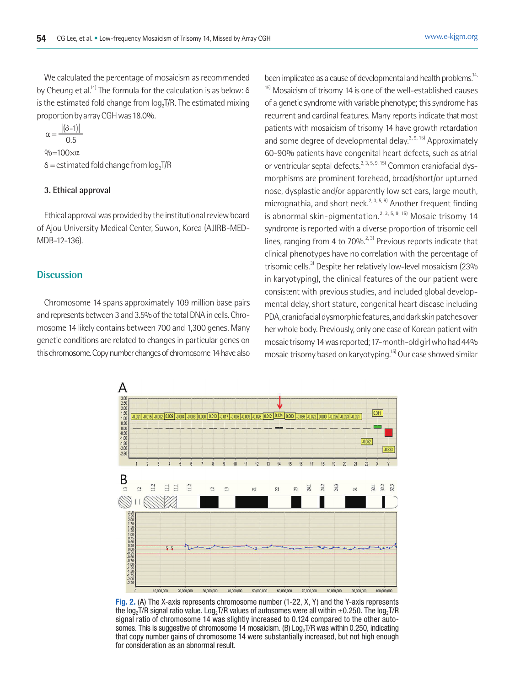We calculated the percentage of mosaicism as recommended by Cheung et al.<sup>[4]</sup> The formula for the calculation is as below:  $\delta$ is the estimated fold change from log<sub>2</sub>T/R. The estimated mixing proportion by array CGH was 18.0%.

$$
\alpha = \frac{|(\delta - 1)|}{0.5}
$$

 $\% = 100 \times \alpha$  $\delta$  = estimated fold change from  $log_2T/R$ 

#### **3. Ethical approval**

Ethical approval was provided by the institutional review board of Ajou University Medical Center, Suwon, Korea (AJIRB-MED-MDB-12-136).

#### **Discussion**

Chromosome 14 spans approximately 109 million base pairs and represents between 3 and 3.5% of the total DNA in cells. Chromosome 14 likely contains between 700 and 1,300 genes. Many genetic conditions are related to changes in particular genes on this chromosome. Copy number changes of chromosome 14 have also

been implicated as a cause of developmental and health problems.<sup>14,</sup>  $15$ ) Mosaicism of trisomy 14 is one of the well-established causes of a genetic syndrome with variable phenotype; this syndrome has recurrent and cardinal features. Many reports indicate that most patients with mosaicism of trisomy 14 have growth retardation and some degree of developmental delay.<sup>3, 9, 15)</sup> Approximately 60-90% patients have congenital heart defects, such as atrial or ventricular septal defects.<sup>2, 3, 5, 9, 15)</sup> Common craniofacial dysmorphisms are prominent forehead, broad/short/or upturned nose, dysplastic and/or apparently low set ears, large mouth, micrognathia, and short neck.<sup>2, 3, 5, 9)</sup> Another frequent finding is abnormal skin-pigmentation.<sup>2, 3, 5, 9, 15)</sup> Mosaic trisomy 14 syndrome is reported with a diverse proportion of trisomic cell lines, ranging from 4 to 70% $^{2,3}$  Previous reports indicate that clinical phenotypes have no correlation with the percentage of trisomic cells.<sup>3)</sup> Despite her relatively low-level mosaicism (23% in karyotyping), the clinical features of the our patient were consistent with previous studies, and included global developmental delay, short stature, congenital heart disease including PDA, craniofacial dysmorphic features, and dark skin patches over her whole body. Previously, only one case of Korean patient with mosaic trisomy 14 was reported; 17-month-old girl who had 44% mosaic trisomy based on karyotyping.15) Our case showed similar



**Fig. 2.** (A) The X-axis represents chromosome number (1-22, X, Y) and the Y-axis represents the log<sub>2</sub>T/R signal ratio value. Log<sub>2</sub>T/R values of autosomes were all within  $\pm$ 0.250. The log<sub>2</sub>T/R signal ratio of chromosome 14 was slightly increased to 0.124 compared to the other autosomes. This is suggestive of chromosome 14 mosaicism. (B)  $Log<sub>2</sub> T/R$  was within 0.250, indicating that copy number gains of chromosome 14 were substantially increased, but not high enough for consideration as an abnormal result.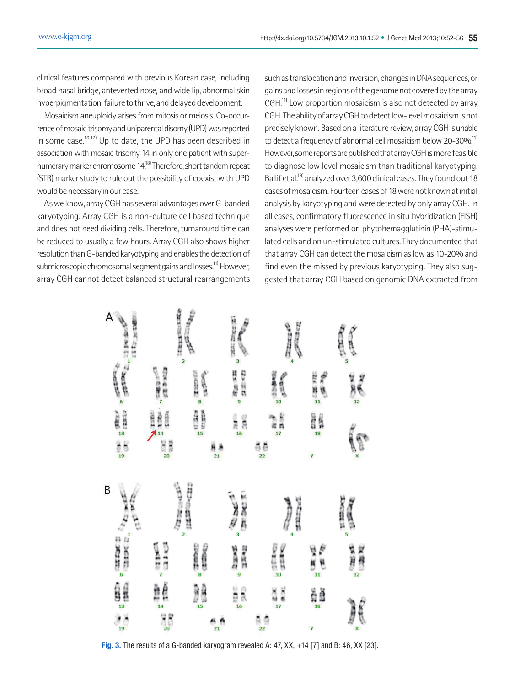clinical features compared with previous Korean case, including broad nasal bridge, anteverted nose, and wide lip, abnormal skin hyperpigmentation, failure to thrive, and delayed development.

Mosaicism aneuploidy arises from mitosis or meiosis. Co-occurrence of mosaic trisomy and uniparental disomy (UPD) was reported in some case.<sup>16,17)</sup> Up to date, the UPD has been described in association with mosaic trisomy 14 in only one patient with supernumerary marker chromosome 14.18) Therefore, short tandem repeat (STR) marker study to rule out the possibility of coexist with UPD would be necessary in our case.

As we know, array CGH has several advantages over G-banded karyotyping. Array CGH is a non-culture cell based technique and does not need dividing cells. Therefore, turnaround time can be reduced to usually a few hours. Array CGH also shows higher resolution than G-banded karyotyping and enables the detection of submicroscopic chromosomal segment gains and losses.<sup>11)</sup> However, array CGH cannot detect balanced structural rearrangements such as translocation and inversion, changes in DNA sequences, or gains and losses in regions of the genome not covered by the array CGH.<sup>11)</sup> Low proportion mosaicism is also not detected by array CGH. The ability of array CGH to detect low-level mosaicism is not precisely known. Based on a literature review, array CGH is unable to detect a frequency of abnormal cell mosaicism below 20-30%.<sup>12)</sup> However, some reports are published that array CGH is more feasible to diagnose low level mosaicism than traditional karyotyping. Ballif et al.<sup>19)</sup> analyzed over 3,600 clinical cases. They found out 18 cases of mosaicism. Fourteen cases of 18 were not known at initial analysis by karyotyping and were detected by only array CGH. In all cases, confirmatory fluorescence in situ hybridization (FISH) analyses were performed on phytohemagglutinin (PHA)-stimulated cells and on un-stimulated cultures. They documented that that array CGH can detect the mosaicism as low as 10-20% and find even the missed by previous karyotyping. They also suggested that array CGH based on genomic DNA extracted from



**Fig. 3.** The results of a G-banded karyogram revealed A: 47, XX, +14 [7] and B: 46, XX [23].